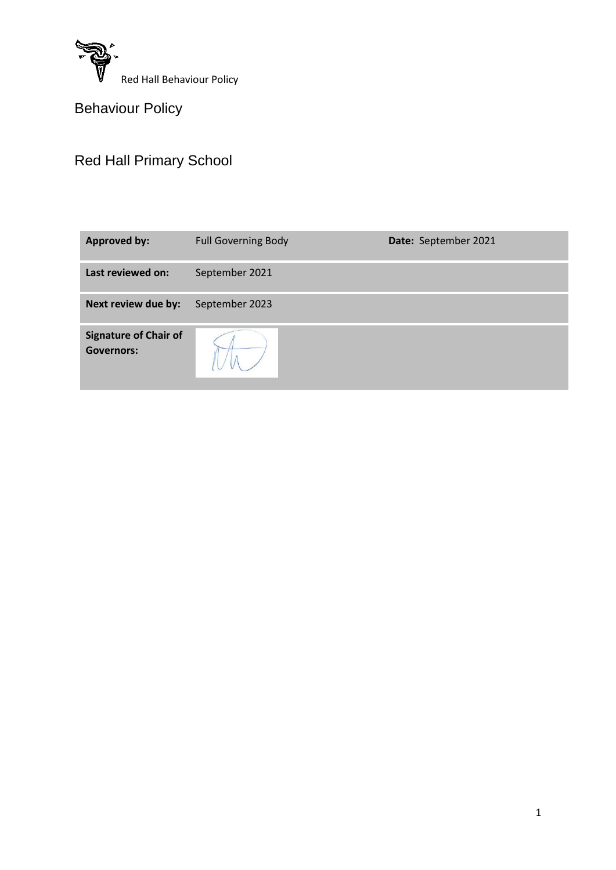

Behaviour Policy

# Red Hall Primary School

| <b>Approved by:</b>                               | <b>Full Governing Body</b><br>Date: September 2021 |  |  |
|---------------------------------------------------|----------------------------------------------------|--|--|
| Last reviewed on:                                 | September 2021                                     |  |  |
| Next review due by:                               | September 2023                                     |  |  |
| <b>Signature of Chair of</b><br><b>Governors:</b> |                                                    |  |  |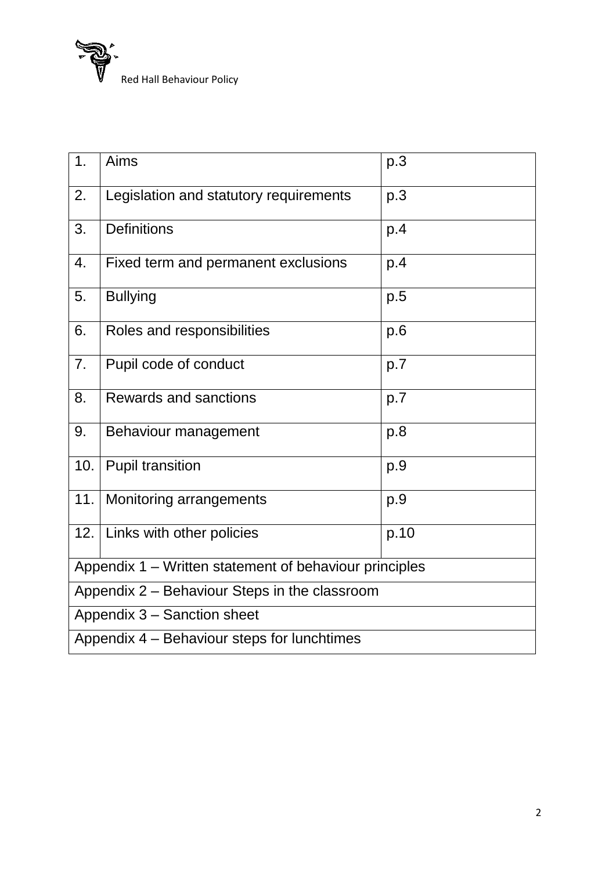Red Hall Behaviour Policy

| 1.                                                     | Aims                                   | p.3  |  |  |
|--------------------------------------------------------|----------------------------------------|------|--|--|
| 2.                                                     | Legislation and statutory requirements | p.3  |  |  |
| 3.                                                     | <b>Definitions</b>                     | p.4  |  |  |
| 4.                                                     | Fixed term and permanent exclusions    | p.4  |  |  |
| 5.                                                     | <b>Bullying</b>                        | p.5  |  |  |
| 6.                                                     | Roles and responsibilities             | p.6  |  |  |
| 7 <sub>1</sub>                                         | Pupil code of conduct                  | p.7  |  |  |
| 8.                                                     | Rewards and sanctions                  | p.7  |  |  |
| 9.                                                     | Behaviour management                   | p.8  |  |  |
| 10.                                                    | <b>Pupil transition</b>                | p.9  |  |  |
| 11.                                                    | Monitoring arrangements                | p.9  |  |  |
| 12.                                                    | Links with other policies              | p.10 |  |  |
| Appendix 1 – Written statement of behaviour principles |                                        |      |  |  |
| Appendix 2 - Behaviour Steps in the classroom          |                                        |      |  |  |
| Appendix 3 - Sanction sheet                            |                                        |      |  |  |
| Appendix 4 – Behaviour steps for lunchtimes            |                                        |      |  |  |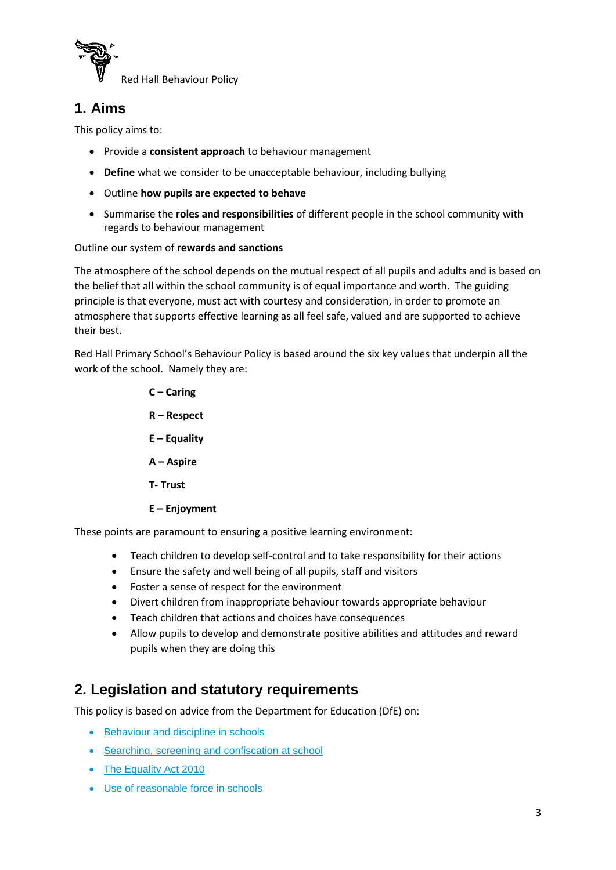

## **1. Aims**

This policy aims to:

- Provide a **consistent approach** to behaviour management
- **Define** what we consider to be unacceptable behaviour, including bullying
- Outline **how pupils are expected to behave**
- Summarise the **roles and responsibilities** of different people in the school community with regards to behaviour management

#### Outline our system of **rewards and sanctions**

The atmosphere of the school depends on the mutual respect of all pupils and adults and is based on the belief that all within the school community is of equal importance and worth. The guiding principle is that everyone, must act with courtesy and consideration, in order to promote an atmosphere that supports effective learning as all feel safe, valued and are supported to achieve their best.

Red Hall Primary School's Behaviour Policy is based around the six key values that underpin all the work of the school. Namely they are:

> **C – Caring R – Respect E – Equality A – Aspire T- Trust E – Enjoyment**

These points are paramount to ensuring a positive learning environment:

- Teach children to develop self-control and to take responsibility for their actions
- Ensure the safety and well being of all pupils, staff and visitors
- Foster a sense of respect for the environment
- Divert children from inappropriate behaviour towards appropriate behaviour
- Teach children that actions and choices have consequences
- Allow pupils to develop and demonstrate positive abilities and attitudes and reward pupils when they are doing this

### **2. Legislation and statutory requirements**

This policy is based on advice from the Department for Education (DfE) on:

- [Behaviour and discipline in schools](https://www.gov.uk/government/publications/behaviour-and-discipline-in-schools)
- [Searching, screening and confiscation at school](https://www.gov.uk/government/publications/searching-screening-and-confiscation)
- [The Equality Act 2010](https://www.gov.uk/government/publications/equality-act-2010-advice-for-schools)
- [Use of reasonable force in schools](https://www.gov.uk/government/publications/use-of-reasonable-force-in-schools)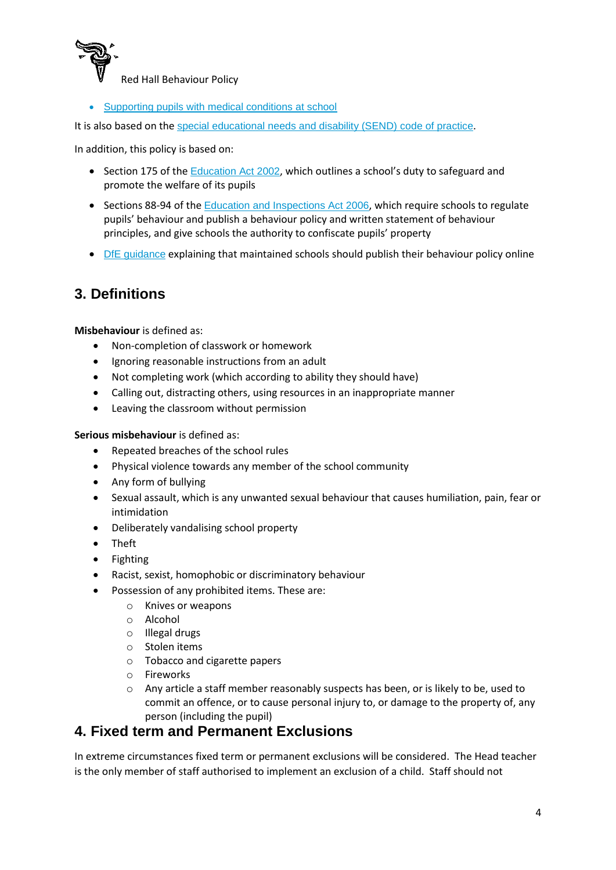

[Supporting pupils with medical conditions at school](https://www.gov.uk/government/publications/supporting-pupils-at-school-with-medical-conditions--3)

It is also based on the [special educational needs and disability \(SEND\) code of practice](https://www.gov.uk/government/publications/send-code-of-practice-0-to-25).

In addition, this policy is based on:

- $\bullet$  Section 175 of the [Education Act 2002](http://www.legislation.gov.uk/ukpga/2002/32/section/175), which outlines a school's duty to safeguard and promote the welfare of its pupils
- Sections 88-94 of the [Education and Inspections Act 2006](http://www.legislation.gov.uk/ukpga/2006/40/section/88), which require schools to regulate pupils' behaviour and publish a behaviour policy and written statement of behaviour principles, and give schools the authority to confiscate pupils' property
- [DfE guidance](https://www.gov.uk/guidance/what-maintained-schools-must-publish-online#behaviour-policy) explaining that maintained schools should publish their behaviour policy online

### **3. Definitions**

**Misbehaviour** is defined as:

- Non-completion of classwork or homework
- Ignoring reasonable instructions from an adult
- Not completing work (which according to ability they should have)
- Calling out, distracting others, using resources in an inappropriate manner
- Leaving the classroom without permission

**Serious misbehaviour** is defined as:

- Repeated breaches of the school rules
- Physical violence towards any member of the school community
- Any form of bullying
- Sexual assault, which is any unwanted sexual behaviour that causes humiliation, pain, fear or intimidation
- Deliberately vandalising school property
- Theft
- Fighting
- Racist, sexist, homophobic or discriminatory behaviour
- Possession of any prohibited items. These are:
	- o Knives or weapons
	- o Alcohol
	- o Illegal drugs
	- o Stolen items
	- o Tobacco and cigarette papers
	- o Fireworks
	- o Any article a staff member reasonably suspects has been, or is likely to be, used to commit an offence, or to cause personal injury to, or damage to the property of, any person (including the pupil)

### **4. Fixed term and Permanent Exclusions**

In extreme circumstances fixed term or permanent exclusions will be considered. The Head teacher is the only member of staff authorised to implement an exclusion of a child. Staff should not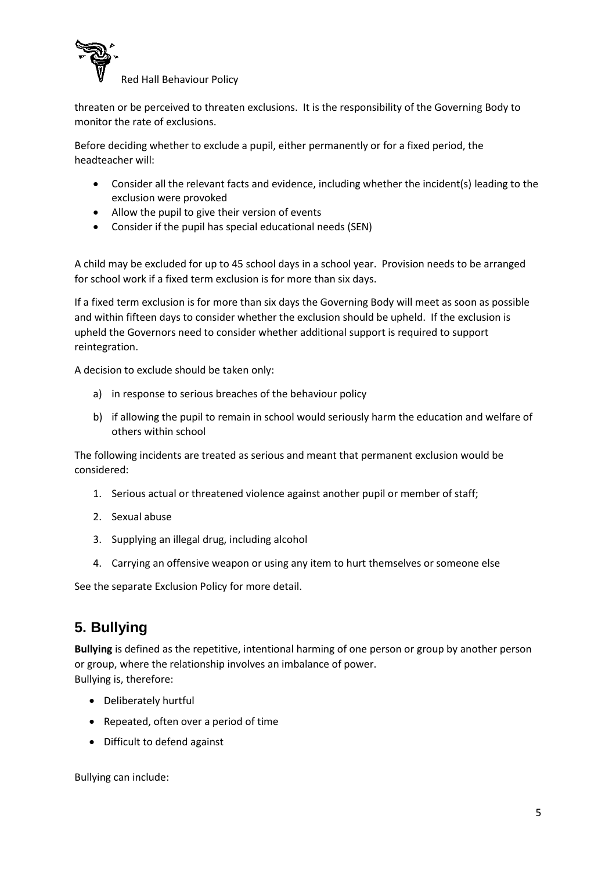

threaten or be perceived to threaten exclusions. It is the responsibility of the Governing Body to monitor the rate of exclusions.

Before deciding whether to exclude a pupil, either permanently or for a fixed period, the headteacher will:

- Consider all the relevant facts and evidence, including whether the incident(s) leading to the exclusion were provoked
- Allow the pupil to give their version of events
- Consider if the pupil has special educational needs (SEN)

A child may be excluded for up to 45 school days in a school year. Provision needs to be arranged for school work if a fixed term exclusion is for more than six days.

If a fixed term exclusion is for more than six days the Governing Body will meet as soon as possible and within fifteen days to consider whether the exclusion should be upheld. If the exclusion is upheld the Governors need to consider whether additional support is required to support reintegration.

A decision to exclude should be taken only:

- a) in response to serious breaches of the behaviour policy
- b) if allowing the pupil to remain in school would seriously harm the education and welfare of others within school

The following incidents are treated as serious and meant that permanent exclusion would be considered:

- 1. Serious actual or threatened violence against another pupil or member of staff;
- 2. Sexual abuse
- 3. Supplying an illegal drug, including alcohol
- 4. Carrying an offensive weapon or using any item to hurt themselves or someone else

See the separate Exclusion Policy for more detail.

### **5. Bullying**

**Bullying** is defined as the repetitive, intentional harming of one person or group by another person or group, where the relationship involves an imbalance of power. Bullying is, therefore:

- Deliberately hurtful
- Repeated, often over a period of time
- Difficult to defend against

Bullying can include: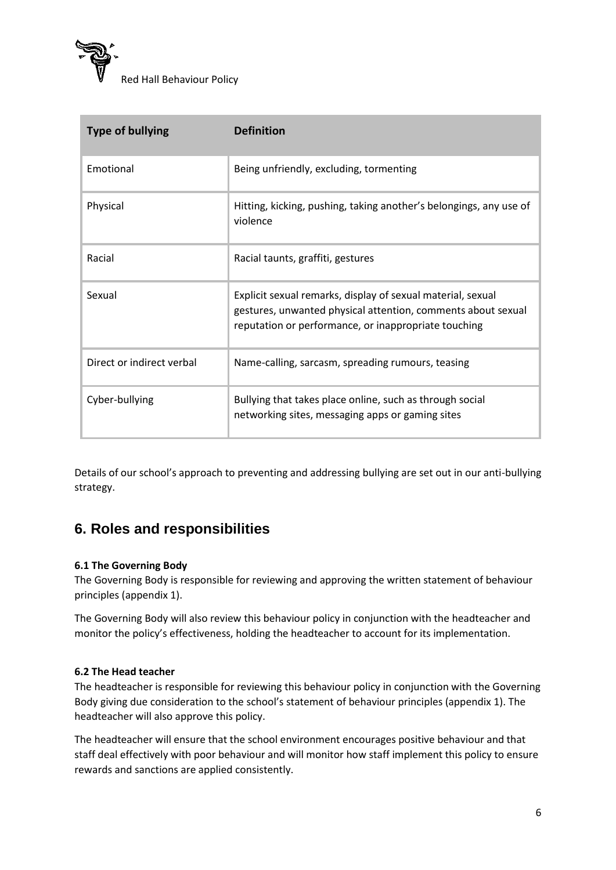

| <b>Type of bullying</b>   | <b>Definition</b>                                                                                                                                                                   |
|---------------------------|-------------------------------------------------------------------------------------------------------------------------------------------------------------------------------------|
| Emotional                 | Being unfriendly, excluding, tormenting                                                                                                                                             |
| Physical                  | Hitting, kicking, pushing, taking another's belongings, any use of<br>violence                                                                                                      |
| Racial                    | Racial taunts, graffiti, gestures                                                                                                                                                   |
| Sexual                    | Explicit sexual remarks, display of sexual material, sexual<br>gestures, unwanted physical attention, comments about sexual<br>reputation or performance, or inappropriate touching |
| Direct or indirect verbal | Name-calling, sarcasm, spreading rumours, teasing                                                                                                                                   |
| Cyber-bullying            | Bullying that takes place online, such as through social<br>networking sites, messaging apps or gaming sites                                                                        |

Details of our school's approach to preventing and addressing bullying are set out in our anti-bullying strategy.

### **6. Roles and responsibilities**

#### **6.1 The Governing Body**

The Governing Body is responsible for reviewing and approving the written statement of behaviour principles (appendix 1).

The Governing Body will also review this behaviour policy in conjunction with the headteacher and monitor the policy's effectiveness, holding the headteacher to account for its implementation.

#### **6.2 The Head teacher**

The headteacher is responsible for reviewing this behaviour policy in conjunction with the Governing Body giving due consideration to the school's statement of behaviour principles (appendix 1). The headteacher will also approve this policy.

The headteacher will ensure that the school environment encourages positive behaviour and that staff deal effectively with poor behaviour and will monitor how staff implement this policy to ensure rewards and sanctions are applied consistently.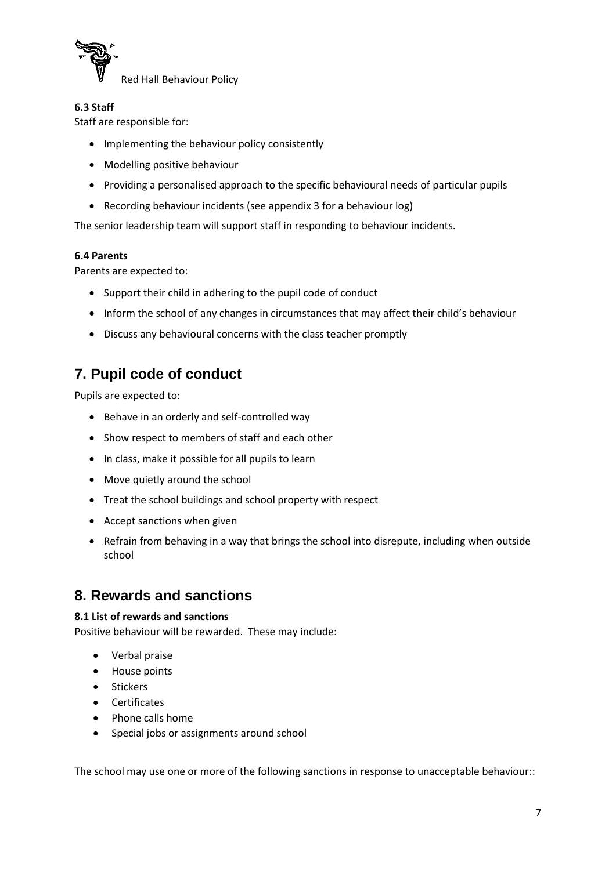

#### **6.3 Staff**

Staff are responsible for:

- Implementing the behaviour policy consistently
- Modelling positive behaviour
- Providing a personalised approach to the specific behavioural needs of particular pupils
- Recording behaviour incidents (see appendix 3 for a behaviour log)

The senior leadership team will support staff in responding to behaviour incidents.

#### **6.4 Parents**

Parents are expected to:

- Support their child in adhering to the pupil code of conduct
- Inform the school of any changes in circumstances that may affect their child's behaviour
- Discuss any behavioural concerns with the class teacher promptly

## **7. Pupil code of conduct**

Pupils are expected to:

- Behave in an orderly and self-controlled way
- Show respect to members of staff and each other
- In class, make it possible for all pupils to learn
- Move quietly around the school
- Treat the school buildings and school property with respect
- Accept sanctions when given
- Refrain from behaving in a way that brings the school into disrepute, including when outside school

### **8. Rewards and sanctions**

#### **8.1 List of rewards and sanctions**

Positive behaviour will be rewarded. These may include:

- Verbal praise
- House points
- **•** Stickers
- Certificates
- Phone calls home
- Special jobs or assignments around school

The school may use one or more of the following sanctions in response to unacceptable behaviour::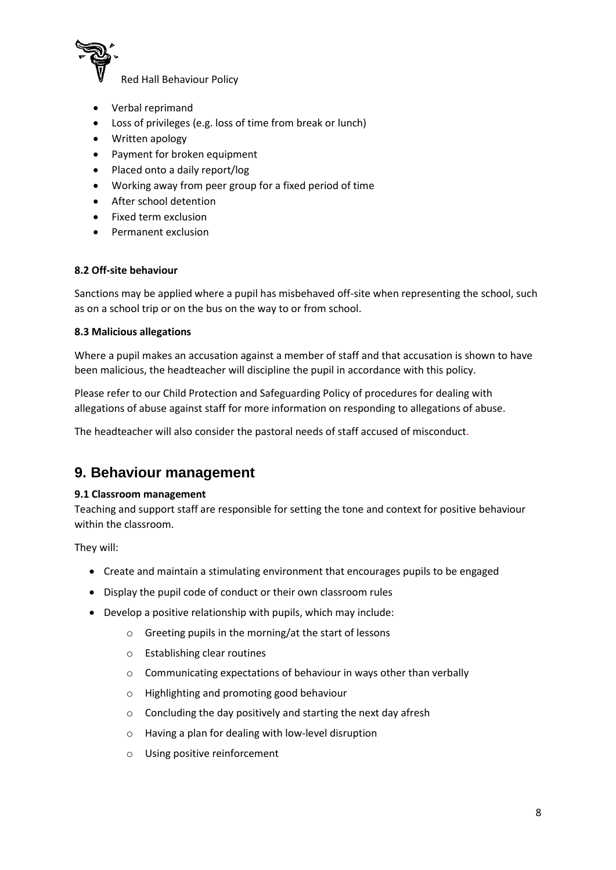

- Verbal reprimand
- Loss of privileges (e.g. loss of time from break or lunch)
- Written apology
- Payment for broken equipment
- Placed onto a daily report/log
- Working away from peer group for a fixed period of time
- After school detention
- Fixed term exclusion
- Permanent exclusion

#### **8.2 Off-site behaviour**

Sanctions may be applied where a pupil has misbehaved off-site when representing the school, such as on a school trip or on the bus on the way to or from school.

#### **8.3 Malicious allegations**

Where a pupil makes an accusation against a member of staff and that accusation is shown to have been malicious, the headteacher will discipline the pupil in accordance with this policy.

Please refer to our Child Protection and Safeguarding Policy of procedures for dealing with allegations of abuse against staff for more information on responding to allegations of abuse.

The headteacher will also consider the pastoral needs of staff accused of misconduct.

### **9. Behaviour management**

#### **9.1 Classroom management**

Teaching and support staff are responsible for setting the tone and context for positive behaviour within the classroom.

They will:

- Create and maintain a stimulating environment that encourages pupils to be engaged
- Display the pupil code of conduct or their own classroom rules
- Develop a positive relationship with pupils, which may include:
	- o Greeting pupils in the morning/at the start of lessons
	- o Establishing clear routines
	- o Communicating expectations of behaviour in ways other than verbally
	- o Highlighting and promoting good behaviour
	- o Concluding the day positively and starting the next day afresh
	- o Having a plan for dealing with low-level disruption
	- o Using positive reinforcement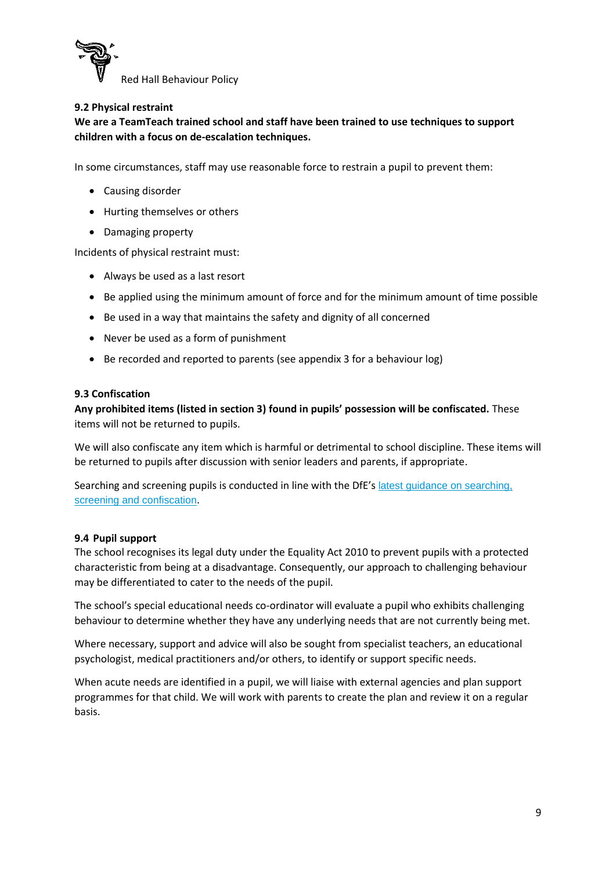

#### **9.2 Physical restraint**

**We are a TeamTeach trained school and staff have been trained to use techniques to support children with a focus on de-escalation techniques.**

In some circumstances, staff may use reasonable force to restrain a pupil to prevent them:

- Causing disorder
- Hurting themselves or others
- Damaging property

Incidents of physical restraint must:

- Always be used as a last resort
- Be applied using the minimum amount of force and for the minimum amount of time possible
- Be used in a way that maintains the safety and dignity of all concerned
- Never be used as a form of punishment
- Be recorded and reported to parents (see appendix 3 for a behaviour log)

#### **9.3 Confiscation**

**Any prohibited items (listed in section 3) found in pupils' possession will be confiscated.** These items will not be returned to pupils.

We will also confiscate any item which is harmful or detrimental to school discipline. These items will be returned to pupils after discussion with senior leaders and parents, if appropriate.

Searching and screening pupils is conducted in line with the DfE's [latest guidance on searching,](https://www.gov.uk/government/publications/searching-screening-and-confiscation)  [screening and confiscation](https://www.gov.uk/government/publications/searching-screening-and-confiscation).

#### **9.4 Pupil support**

The school recognises its legal duty under the Equality Act 2010 to prevent pupils with a protected characteristic from being at a disadvantage. Consequently, our approach to challenging behaviour may be differentiated to cater to the needs of the pupil.

The school's special educational needs co-ordinator will evaluate a pupil who exhibits challenging behaviour to determine whether they have any underlying needs that are not currently being met.

Where necessary, support and advice will also be sought from specialist teachers, an educational psychologist, medical practitioners and/or others, to identify or support specific needs.

When acute needs are identified in a pupil, we will liaise with external agencies and plan support programmes for that child. We will work with parents to create the plan and review it on a regular basis.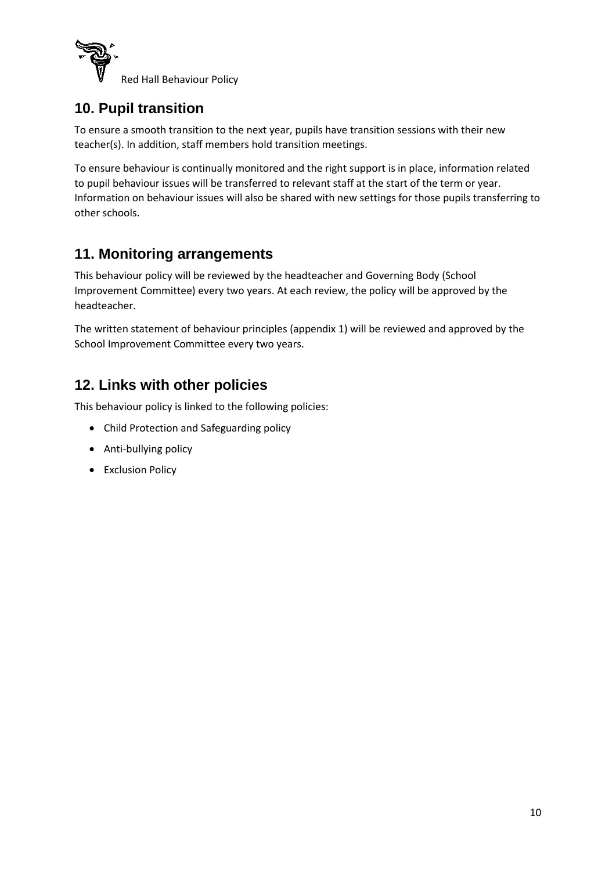

### **10. Pupil transition**

To ensure a smooth transition to the next year, pupils have transition sessions with their new teacher(s). In addition, staff members hold transition meetings.

To ensure behaviour is continually monitored and the right support is in place, information related to pupil behaviour issues will be transferred to relevant staff at the start of the term or year. Information on behaviour issues will also be shared with new settings for those pupils transferring to other schools.

## **11. Monitoring arrangements**

This behaviour policy will be reviewed by the headteacher and Governing Body (School Improvement Committee) every two years. At each review, the policy will be approved by the headteacher.

The written statement of behaviour principles (appendix 1) will be reviewed and approved by the School Improvement Committee every two years.

### **12. Links with other policies**

This behaviour policy is linked to the following policies:

- Child Protection and Safeguarding policy
- Anti-bullying policy
- Exclusion Policy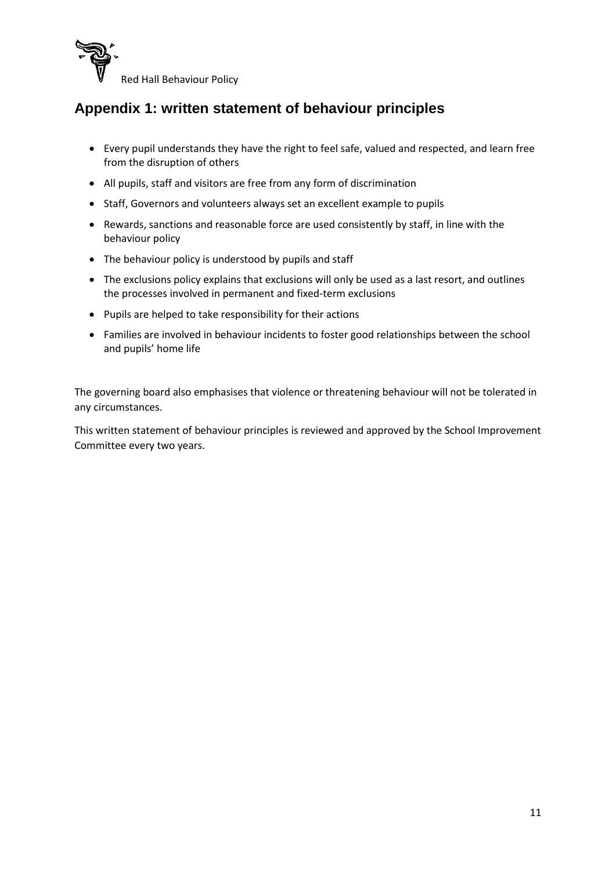

## **Appendix 1: written statement of behaviour principles**

- Every pupil understands they have the right to feel safe, valued and respected, and learn free from the disruption of others
- All pupils, staff and visitors are free from any form of discrimination
- Staff, Governors and volunteers always set an excellent example to pupils
- Rewards, sanctions and reasonable force are used consistently by staff, in line with the behaviour policy
- The behaviour policy is understood by pupils and staff
- The exclusions policy explains that exclusions will only be used as a last resort, and outlines the processes involved in permanent and fixed-term exclusions
- Pupils are helped to take responsibility for their actions
- Families are involved in behaviour incidents to foster good relationships between the school and pupils' home life

The governing board also emphasises that violence or threatening behaviour will not be tolerated in any circumstances.

This written statement of behaviour principles is reviewed and approved by the School Improvement Committee every two years.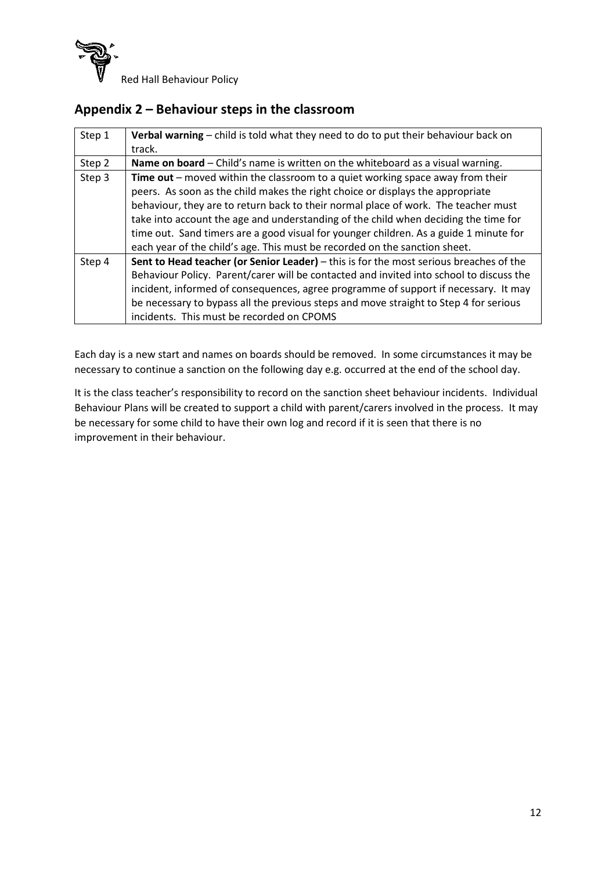

### **Appendix 2 – Behaviour steps in the classroom**

| Step 1 | Verbal warning - child is told what they need to do to put their behaviour back on      |
|--------|-----------------------------------------------------------------------------------------|
|        | track.                                                                                  |
| Step 2 | Name on board – Child's name is written on the whiteboard as a visual warning.          |
| Step 3 | Time out – moved within the classroom to a quiet working space away from their          |
|        | peers. As soon as the child makes the right choice or displays the appropriate          |
|        | behaviour, they are to return back to their normal place of work. The teacher must      |
|        | take into account the age and understanding of the child when deciding the time for     |
|        | time out. Sand timers are a good visual for younger children. As a guide 1 minute for   |
|        | each year of the child's age. This must be recorded on the sanction sheet.              |
| Step 4 | Sent to Head teacher (or Senior Leader) - this is for the most serious breaches of the  |
|        | Behaviour Policy. Parent/carer will be contacted and invited into school to discuss the |
|        | incident, informed of consequences, agree programme of support if necessary. It may     |
|        | be necessary to bypass all the previous steps and move straight to Step 4 for serious   |
|        | incidents. This must be recorded on CPOMS                                               |

Each day is a new start and names on boards should be removed. In some circumstances it may be necessary to continue a sanction on the following day e.g. occurred at the end of the school day.

It is the class teacher's responsibility to record on the sanction sheet behaviour incidents. Individual Behaviour Plans will be created to support a child with parent/carers involved in the process. It may be necessary for some child to have their own log and record if it is seen that there is no improvement in their behaviour.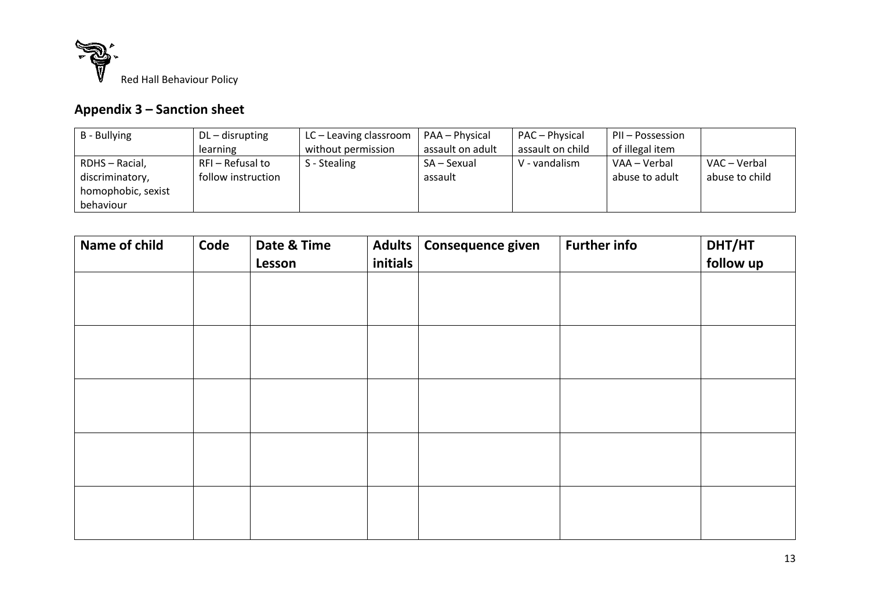

# **Appendix 3 – Sanction sheet**

| B - Bullying       | $DL$ – disrupting  | LC – Leaving classroom | PAA – Physical   | PAC - Physical   | PII – Possession |                |
|--------------------|--------------------|------------------------|------------------|------------------|------------------|----------------|
|                    | learning           | without permission     | assault on adult | assault on child | of illegal item  |                |
| RDHS - Racial,     | RFI - Refusal to   | S - Stealing           | SA – Sexual      | V - vandalism    | VAA – Verbal     | VAC – Verbal   |
| discriminatory,    | follow instruction |                        | assault          |                  | abuse to adult   | abuse to child |
| homophobic, sexist |                    |                        |                  |                  |                  |                |
| behaviour          |                    |                        |                  |                  |                  |                |

| Name of child | Code | Date & Time<br>Lesson | <b>Adults</b><br>initials | Consequence given | <b>Further info</b> | DHT/HT<br>follow up |
|---------------|------|-----------------------|---------------------------|-------------------|---------------------|---------------------|
|               |      |                       |                           |                   |                     |                     |
|               |      |                       |                           |                   |                     |                     |
|               |      |                       |                           |                   |                     |                     |
|               |      |                       |                           |                   |                     |                     |
|               |      |                       |                           |                   |                     |                     |
|               |      |                       |                           |                   |                     |                     |
|               |      |                       |                           |                   |                     |                     |
|               |      |                       |                           |                   |                     |                     |